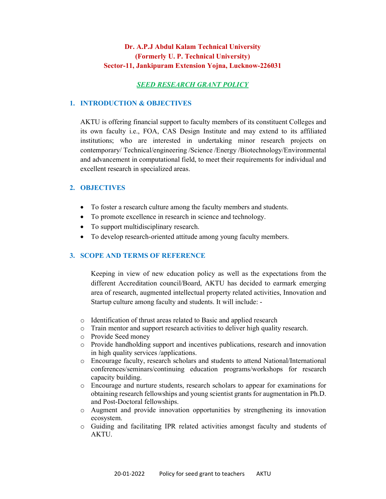# Dr. A.P.J Abdul Kalam Technical University (Formerly U. P. Technical University) Sector-11, Jankipuram Extension Yojna, Lucknow-226031

# SEED RESEARCH GRANT POLICY

### 1. INTRODUCTION & OBJECTIVES

AKTU is offering financial support to faculty members of its constituent Colleges and its own faculty i.e., FOA, CAS Design Institute and may extend to its affiliated institutions; who are interested in undertaking minor research projects on contemporary/ Technical/engineering /Science /Energy /Biotechnology/Environmental and advancement in computational field, to meet their requirements for individual and excellent research in specialized areas.

# 2. OBJECTIVES

- To foster a research culture among the faculty members and students.
- To promote excellence in research in science and technology.
- To support multidisciplinary research.
- To develop research-oriented attitude among young faculty members.

# 3. SCOPE AND TERMS OF REFERENCE

Keeping in view of new education policy as well as the expectations from the different Accreditation council/Board, AKTU has decided to earmark emerging area of research, augmented intellectual property related activities, Innovation and Startup culture among faculty and students. It will include: -

- o Identification of thrust areas related to Basic and applied research
- o Train mentor and support research activities to deliver high quality research.
- o Provide Seed money
- o Provide handholding support and incentives publications, research and innovation in high quality services /applications.
- o Encourage faculty, research scholars and students to attend National/International conferences/seminars/continuing education programs/workshops for research capacity building.
- o Encourage and nurture students, research scholars to appear for examinations for obtaining research fellowships and young scientist grants for augmentation in Ph.D. and Post-Doctoral fellowships.
- o Augment and provide innovation opportunities by strengthening its innovation ecosystem.
- o Guiding and facilitating IPR related activities amongst faculty and students of AKTU.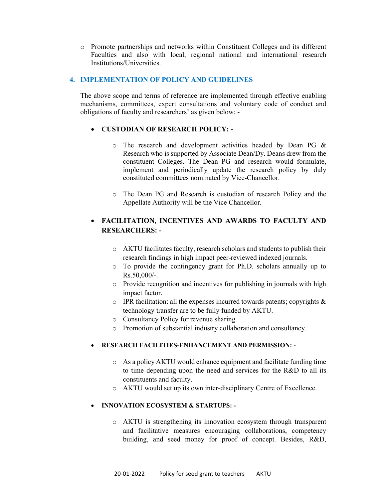o Promote partnerships and networks within Constituent Colleges and its different Faculties and also with local, regional national and international research Institutions/Universities.

# 4. IMPLEMENTATION OF POLICY AND GUIDELINES

The above scope and terms of reference are implemented through effective enabling mechanisms, committees, expert consultations and voluntary code of conduct and obligations of faculty and researchers' as given below: -

# CUSTODIAN OF RESEARCH POLICY: -

- o The research and development activities headed by Dean PG & Research who is supported by Associate Dean/Dy. Deans drew from the constituent Colleges. The Dean PG and research would formulate, implement and periodically update the research policy by duly constituted committees nominated by Vice-Chancellor.
- o The Dean PG and Research is custodian of research Policy and the Appellate Authority will be the Vice Chancellor.

# FACILITATION, INCENTIVES AND AWARDS TO FACULTY AND RESEARCHERS: -

- o AKTU facilitates faculty, research scholars and students to publish their research findings in high impact peer-reviewed indexed journals.
- o To provide the contingency grant for Ph.D. scholars annually up to  $Rs.50,000/-$ .
- o Provide recognition and incentives for publishing in journals with high impact factor.
- o IPR facilitation: all the expenses incurred towards patents; copyrights & technology transfer are to be fully funded by AKTU.
- o Consultancy Policy for revenue sharing.
- o Promotion of substantial industry collaboration and consultancy.

### RESEARCH FACILITIES-ENHANCEMENT AND PERMISSION: -

- o As a policy AKTU would enhance equipment and facilitate funding time to time depending upon the need and services for the R&D to all its constituents and faculty.
- o AKTU would set up its own inter-disciplinary Centre of Excellence.

# INNOVATION ECOSYSTEM & STARTUPS: -

o AKTU is strengthening its innovation ecosystem through transparent and facilitative measures encouraging collaborations, competency building, and seed money for proof of concept. Besides, R&D,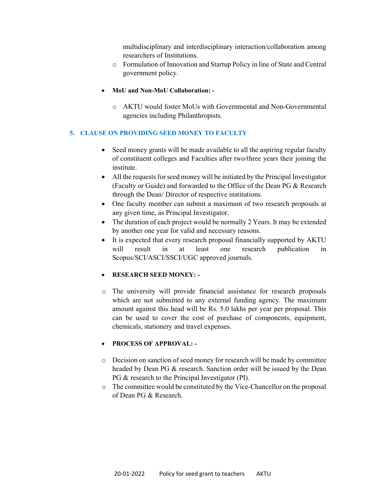multidisciplinary and interdisciplinary interaction/collaboration among researchers of Institutions.

- o Formulation of Innovation and Startup Policy in line of State and Central government policy.
- MoU and Non-MoU Collaboration:
	- o AKTU would foster MoUs with Governmental and Non-Governmental agencies including Philanthropists.

# 5. CLAUSE ON PROVIDING SEED MONEY TO FACULTY

- Seed money grants will be made available to all the aspiring regular faculty of constituent colleges and Faculties after two/three years their joining the institute.
- All the requests for seed money will be initiated by the Principal Investigator (Faculty or Guide) and forwarded to the Office of the Dean PG & Research through the Dean/ Director of respective institutions.
- One faculty member can submit a maximum of two research proposals at any given time, as Principal Investigator.
- The duration of each project would be normally 2 Years. It may be extended by another one year for valid and necessary reasons.
- It is expected that every research proposal financially supported by AKTU will result in at least one research publication in Scopus/SCI/ASCI/SSCI/UGC approved journals.

### RESEARCH SEED MONEY: -

o The university will provide financial assistance for research proposals which are not submitted to any external funding agency. The maximum amount against this head will be Rs. 5.0 lakhs per year per proposal. This can be used to cover the cost of purchase of components, equipment, chemicals, stationery and travel expenses.

## PROCESS OF APPROVAL: -

- o Decision on sanction of seed money for research will be made by committee headed by Dean PG & research. Sanction order will be issued by the Dean PG & research to the Principal Investigator (PI).
- o The committee would be constituted by the Vice-Chancellor on the proposal of Dean PG & Research.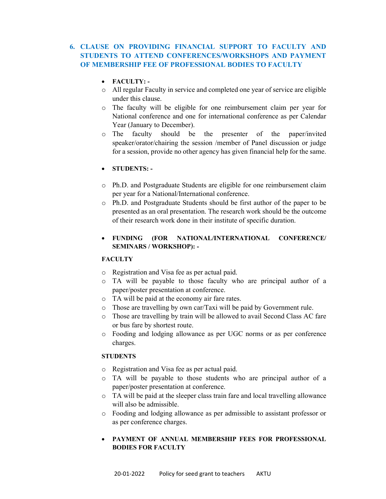# 6. CLAUSE ON PROVIDING FINANCIAL SUPPORT TO FACULTY AND STUDENTS TO ATTEND CONFERENCES/WORKSHOPS AND PAYMENT OF MEMBERSHIP FEE OF PROFESSIONAL BODIES TO FACULTY

- FACULTY: -
- o All regular Faculty in service and completed one year of service are eligible under this clause.
- o The faculty will be eligible for one reimbursement claim per year for National conference and one for international conference as per Calendar Year (January to December).
- o The faculty should be the presenter of the paper/invited speaker/orator/chairing the session /member of Panel discussion or judge for a session, provide no other agency has given financial help for the same.
- STUDENTS: -
- o Ph.D. and Postgraduate Students are eligible for one reimbursement claim per year for a National/International conference.
- o Ph.D. and Postgraduate Students should be first author of the paper to be presented as an oral presentation. The research work should be the outcome of their research work done in their institute of specific duration.
- FUNDING (FOR NATIONAL/INTERNATIONAL CONFERENCE/ SEMINARS / WORKSHOP): -

### **FACULTY**

- o Registration and Visa fee as per actual paid.
- o TA will be payable to those faculty who are principal author of a paper/poster presentation at conference.
- o TA will be paid at the economy air fare rates.
- o Those are travelling by own car/Taxi will be paid by Government rule.
- o Those are travelling by train will be allowed to avail Second Class AC fare or bus fare by shortest route.
- o Fooding and lodging allowance as per UGC norms or as per conference charges.

### **STUDENTS**

- o Registration and Visa fee as per actual paid.
- o TA will be payable to those students who are principal author of a paper/poster presentation at conference.
- o TA will be paid at the sleeper class train fare and local travelling allowance will also be admissible.
- o Fooding and lodging allowance as per admissible to assistant professor or as per conference charges.
- PAYMENT OF ANNUAL MEMBERSHIP FEES FOR PROFESSIONAL BODIES FOR FACULTY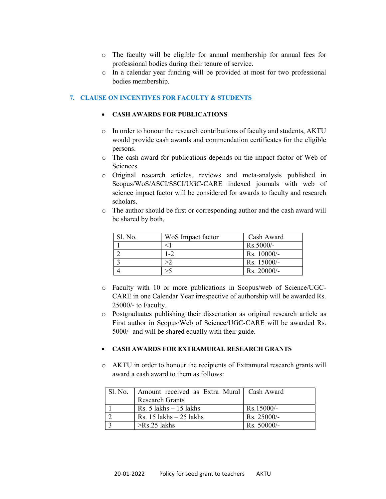- o The faculty will be eligible for annual membership for annual fees for professional bodies during their tenure of service.
- o In a calendar year funding will be provided at most for two professional bodies membership.

# 7. CLAUSE ON INCENTIVES FOR FACULTY & STUDENTS

### CASH AWARDS FOR PUBLICATIONS

- o In order to honour the research contributions of faculty and students, AKTU would provide cash awards and commendation certificates for the eligible persons.
- o The cash award for publications depends on the impact factor of Web of Sciences.
- o Original research articles, reviews and meta-analysis published in Scopus/WoS/ASCI/SSCI/UGC-CARE indexed journals with web of science impact factor will be considered for awards to faculty and research scholars.
- o The author should be first or corresponding author and the cash award will be shared by both,

| Sl. No. | WoS Impact factor | Cash Award  |
|---------|-------------------|-------------|
|         |                   | Rs.5000/-   |
|         |                   | Rs. 10000/- |
|         | >2                | Rs. 15000/- |
|         |                   | Rs. 20000/- |

- o Faculty with 10 or more publications in Scopus/web of Science/UGC-CARE in one Calendar Year irrespective of authorship will be awarded Rs. 25000/- to Faculty.
- o Postgraduates publishing their dissertation as original research article as First author in Scopus/Web of Science/UGC-CARE will be awarded Rs. 5000/- and will be shared equally with their guide.

### CASH AWARDS FOR EXTRAMURAL RESEARCH GRANTS

o AKTU in order to honour the recipients of Extramural research grants will award a cash award to them as follows:

| Sl. No. | Amount received as Extra Mural   Cash Award |               |
|---------|---------------------------------------------|---------------|
|         | <b>Research Grants</b>                      |               |
|         | Rs. $5$ lakhs $-15$ lakhs                   | $Rs.15000/-$  |
|         | Rs. 15 lakhs $-25$ lakhs                    | $Rs. 25000/-$ |
|         | $>$ Rs.25 lakhs                             | $Rs. 50000/-$ |